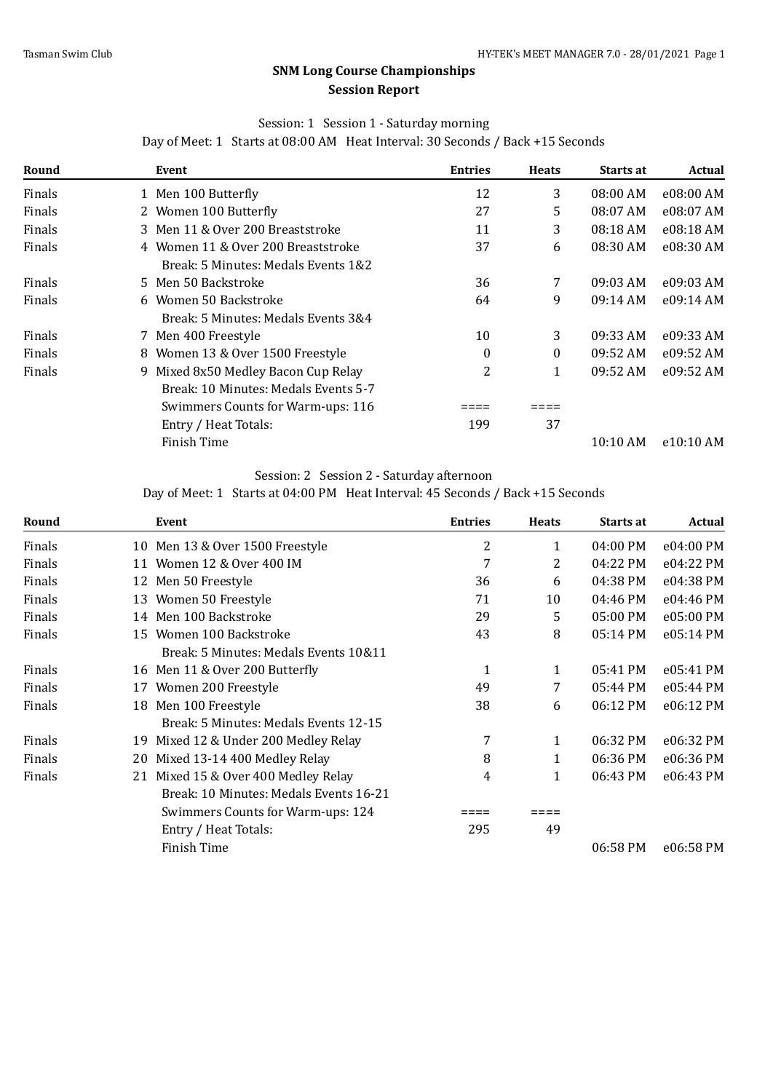# **SNM Long Course Championships Session Report**

# Session: 1 Session 1 - Saturday morning

Day of Meet: 1 Starts at 08:00 AM Heat Interval: 30 Seconds / Back +15 Seconds

| Round  | Event                                | <b>Entries</b> | <b>Heats</b> | Starts at  | <b>Actual</b> |
|--------|--------------------------------------|----------------|--------------|------------|---------------|
| Finals | 1 Men 100 Butterfly                  | 12             | 3            | 08:00 AM   | e08:00 AM     |
| Finals | 2 Women 100 Butterfly                | 27             | 5            | 08:07 AM   | e08:07 AM     |
| Finals | 3 Men 11 & Over 200 Breaststroke     | 11             | 3            | 08:18 AM   | e08:18 AM     |
| Finals | 4 Women 11 & Over 200 Breaststroke   | 37             | 6            | 08:30 AM   | e08:30 AM     |
|        | Break: 5 Minutes: Medals Events 1&2  |                |              |            |               |
| Finals | 5 Men 50 Backstroke                  | 36             | 7            | $09:03$ AM | e09:03 AM     |
| Finals | 6 Women 50 Backstroke                | 64             | 9            | 09:14 AM   | e09:14 AM     |
|        | Break: 5 Minutes: Medals Events 3&4  |                |              |            |               |
| Finals | 7 Men 400 Freestyle                  | 10             | 3            | 09:33 AM   | e09:33 AM     |
| Finals | 8 Women 13 & Over 1500 Freestyle     | $\Omega$       | $\theta$     | 09:52 AM   | e09:52 AM     |
| Finals | 9 Mixed 8x50 Medley Bacon Cup Relay  | 2              | 1            | 09:52 AM   | e09:52 AM     |
|        | Break: 10 Minutes: Medals Events 5-7 |                |              |            |               |
|        | Swimmers Counts for Warm-ups: 116    |                |              |            |               |
|        | Entry / Heat Totals:                 | 199            | 37           |            |               |
|        | Finish Time                          |                |              | $10:10$ AM | e10:10 AM     |

#### Session: 2 Session 2 - Saturday afternoon

Day of Meet: 1 Starts at 04:00 PM Heat Interval: 45 Seconds / Back +15 Seconds

| Round  |    | Event                                  | <b>Entries</b> | <b>Heats</b> | Starts at          | Actual    |
|--------|----|----------------------------------------|----------------|--------------|--------------------|-----------|
| Finals | 10 | Men 13 & Over 1500 Freestyle           | 2              | 1            | $04:00 \text{ PM}$ | e04:00 PM |
| Finals |    | 11 Women 12 & Over 400 IM              | 7              | 2            | 04:22 PM           | e04:22 PM |
| Finals | 12 | Men 50 Freestyle                       | 36             | 6            | 04:38 PM           | e04:38 PM |
| Finals | 13 | Women 50 Freestyle                     | 71             | 10           | 04:46 PM           | e04:46 PM |
| Finals | 14 | Men 100 Backstroke                     | 29             | 5            | $05:00$ PM         | e05:00 PM |
| Finals | 15 | Women 100 Backstroke                   | 43             | 8            | 05:14 PM           | e05:14 PM |
|        |    | Break: 5 Minutes: Medals Events 10&11  |                |              |                    |           |
| Finals | 16 | Men 11 & Over 200 Butterfly            | $\mathbf{1}$   | 1            | 05:41 PM           | e05:41 PM |
| Finals | 17 | Women 200 Freestyle                    | 49             | 7            | 05:44 PM           | e05:44 PM |
| Finals | 18 | Men 100 Freestyle                      | 38             | 6            | 06:12 PM           | e06:12 PM |
|        |    | Break: 5 Minutes: Medals Events 12-15  |                |              |                    |           |
| Finals | 19 | Mixed 12 & Under 200 Medley Relay      | 7              | 1            | 06:32 PM           | e06:32 PM |
| Finals | 20 | Mixed 13-14 400 Medley Relay           | 8              | 1            | 06:36 PM           | e06:36 PM |
| Finals | 21 | Mixed 15 & Over 400 Medley Relay       | 4              | 1            | 06:43 PM           | e06:43 PM |
|        |    | Break: 10 Minutes: Medals Events 16-21 |                |              |                    |           |
|        |    | Swimmers Counts for Warm-ups: 124      |                |              |                    |           |
|        |    | Entry / Heat Totals:                   | 295            | 49           |                    |           |
|        |    | Finish Time                            |                |              | 06:58 PM           | e06:58 PM |